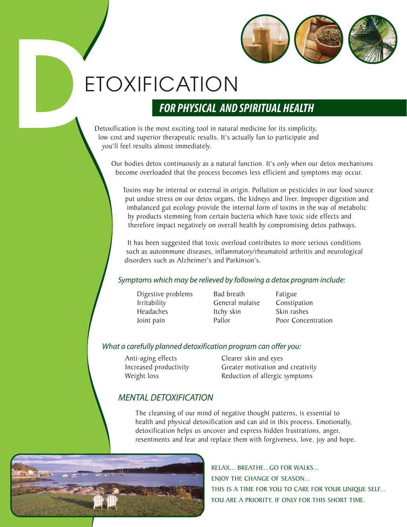

# ETOXIFICATION

**DETOXIFICATION**<br> **DETOXIFICATION**<br> **DETOXIFICATION**<br> **DETOXIFICATION**<br>
Detoxification is the most exciting tool in natural medicine for its simplicity<br>
low cost and superior therapeutic results. It's actually fun to parti Detoxification is the most exciting tool in natural medicine for its simplicity, low cost and superior therapeutic results. It's actually fun to participate and you'll feel results almost immediately.

> Our bodies detox continuously as a natural function. It's only when our detox mechanisms become overloaded that the process becomes less efficient and symptoms may occur.

Toxins may be internal or external in origin. Pollution or pesticides in our food source put undue stress on our detox organs, the kidneys and liver. Improper digestion and imbalanced gut ecology provide the internal form of toxins in the way of metabolic by products stemming from certain bacteria which have toxic side effects and therefore impact negatively on overall health by compromising detox pathways.

It has been suggested that toxic overload contributes to more serious conditions such as autoimmune diseases, inflammatory/rheumatoid arthritis and neurological disorders such as Alzheimer's and Parkinson's.

#### *Symptoms which may be relieved by following a detox program include:*

- Digestive problems Irritability Headaches Joint pain
- Bad breath General malaise Itchy skin Pallor

Fatigue Constipation Skin rashes Poor Concentration

#### *What a carefully planned detoxification program can offer you:*

Anti-aging effects Increased productivity Weight loss

Clearer skin and eyes Greater motivation and creativity Reduction of allergic symptoms

### *MENTAL DETOXIFICATION*

The cleansing of our mind of negative thought patterns, is essential to health and physical detoxification and can aid in this process. Emotionally, detoxification helps us uncover and express hidden frustrations, anger, resentments and fear and replace them with forgiveness, love, joy and hope.



RELAX... BREATHE...GO FOR WALKS... ENJOY THE CHANGE OF SEASON... THIS IS A TIME FOR YOU TO CARE FOR YOUR UNIQUE SELF... YOU ARE A PRIORITY, IF ONLY FOR THIS SHORT TIME.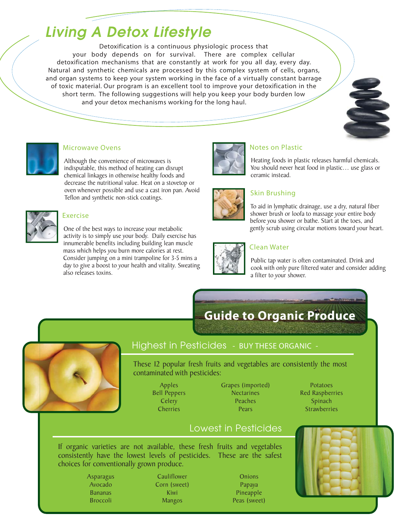## *Living A Detox Lifestyle*

Detoxification is a continuous physiologic process that your body depends on for survival. There are complex cellular detoxification mechanisms that are constantly at work for you all day, every day. Natural and synthetic chemicals are processed by this complex system of cells, organs, and organ systems to keep your system working in the face of a virtually constant barrage of toxic material. Our program is an excellent tool to improve your detoxification in the short term. The following suggestions will help you keep your body burden low and your detox mechanisms working for the long haul.



Although the convenience of microwaves is indisputable, this method of heating can disrupt chemical linkages in otherwise healthy foods and decrease the nutritional value. Heat on a stovetop or oven whenever possible and use a cast iron pan. Avoid Teflon and synthetic non-stick coatings.



One of the best ways to increase your metabolic activity is to simply use your body. Daily exercise has innumerable benefits including building lean muscle mass which helps you burn more calories at rest. Consider jumping on a mini trampoline for 3-5 mins a day to give a boost to your health and vitality. Sweating also releases toxins.



Heating foods in plastic releases harmful chemicals. You should never heat food in plastic… use glass or ceramic instead.



To aid in lymphatic drainage, use a dry, natural fiber shower brush or loofa to massage your entire body before you shower or bathe. Start at the toes, and gently scrub using circular motions toward your heart.



Public tap water is often contaminated. Drink and cook with only pure filtered water and consider adding a filter to your shower.

## **Guide to Organic Produce**



### Highest in Pesticides - BUY THESE ORGANIC -

These 12 popular fresh fruits and vegetables are consistently the most contaminated with pesticides:

- Apples Bell Peppers **Celery** Cherries
- Grapes (imported) **Nectarines** Peaches **Pears**
- Potatoes Red Raspberries Spinach **Strawberries**



### Lowest in Pesticides

If organic varieties are not available, these fresh fruits and vegetables consistently have the lowest levels of pesticides. These are the safest choices for conventionally grown produce.

- Asparagus Avocado Bananas Broccoli
- Cauliflower Corn (sweet) Kiwi Mangos

**Onions** Papaya Pineapple Peas (sweet)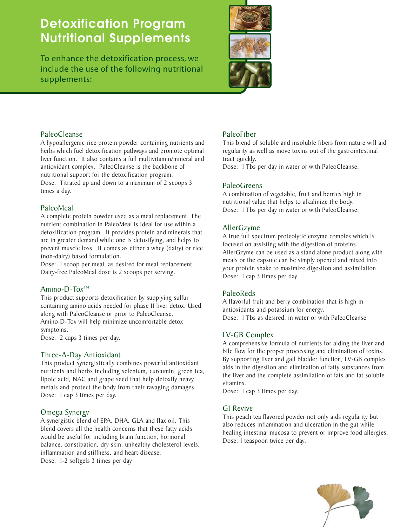## **Detoxification Program Nutritional Supplements**

To enhance the detoxification process, we include the use of the following nutritional supplements:



#### PaleoCleanse

A hypoallergenic rice protein powder containing nutrients and herbs which fuel detoxification pathways and promote optimal liver function. It also contains a full multivitamin/mineral and antioxidant complex. PaleoCleanse is the backbone of nutritional support for the detoxification program. Dose: Titrated up and down to a maximum of 2 scoops 3 times a day.

#### PaleoMeal

A complete protein powder used as a meal replacement. The nutrient combination in PaleoMeal is ideal for use within a detoxification program. It provides protein and minerals that are in greater demand while one is detoxifying, and helps to prevent muscle loss. It comes as either a whey (dairy) or rice (non-dairy) based formulation.

Dose: 1 scoop per meal, as desired for meal replacement. Dairy-free PaleoMeal dose is 2 scoops per serving.

#### Amino-D-To $x^{TM}$

This product supports detoxification by supplying sulfur containing amino acids needed for phase II liver detox. Used along with PaleoCleanse or prior to PaleoCleanse, Amino-D-Tox will help minimize uncomfortable detox symptoms.

Dose: 2 caps 3 times per day.

#### Three-A-Day Antioxidant

This product synergistically combines powerful antioxidant nutrients and herbs including selenium, curcumin, green tea, lipoic acid, NAC and grape seed that help detoxify heavy metals and protect the body from their ravaging damages. Dose: 1 cap 3 times per day.

#### Omega Synergy

A synergistic blend of EPA, DHA, GLA and flax oil. This blend covers all the health concerns that these fatty acids would be useful for including brain function, hormonal balance, constipation, dry skin, unhealthy cholesterol levels, inflammation and stiffness, and heart disease. Dose: 1-2 softgels 3 times per day

#### PaleoFiber

This blend of soluble and insoluble fibers from nature will aid regularity as well as move toxins out of the gastrointestinal tract quickly.

Dose: 1 Tbs per day in water or with PaleoCleanse.

#### PaleoGreens

A combination of vegetable, fruit and berries high in nutritional value that helps to alkalinize the body. Dose: 1 Tbs per day in water or with PaleoCleanse.

#### AllerGzyme

A true full spectrum proteolytic enzyme complex which is focused on assisting with the digestion of proteins. AllerGzyme can be used as a stand alone product along with meals or the capsule can be simply opened and mixed into your protein shake to maximize digestion and assimilation Dose: 1 cap 3 times per day

#### PaleoReds

A flavorful fruit and berry combination that is high in antioxidants and potassium for energy. Dose: 1 Tbs as desired, in water or with PaleoCleanse

#### LV-GB Complex

A comprehensive formula of nutrients for aiding the liver and bile flow for the proper processing and elimination of toxins. By supporting liver and gall bladder function, LV-GB complex aids in the digestion and elimination of fatty substances from the liver and the complete assimilation of fats and fat soluble vitamins.

Dose: 1 cap 3 times per day.

#### GI Revive

This peach tea flavored powder not only aids regularity but also reduces inflammation and ulceration in the gut while healing intestinal mucosa to prevent or improve food allergies. Dose: 1 teaspoon twice per day.

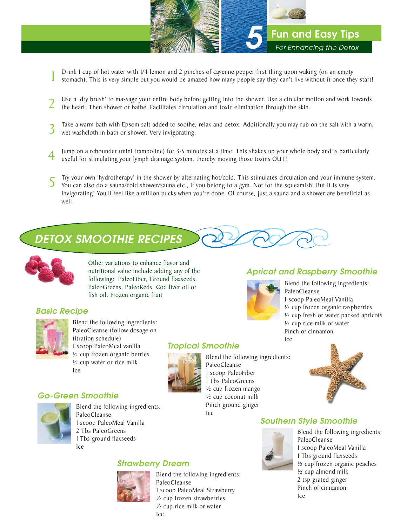

- Drink I cup of hot water with I/4 lemon and 2 pinches of cayenne pepper first thing upon waking (on an empty stomach). This is very simple but you would be amazed how many people say they can't live without it once they st
- Use a 'dry brush' to massage your entire body before getting into the shower. Use a circular motion and work towards the heart. Then shower or bathe. Facilitates circulation and toxic elimination through the skin.
- Take a warm bath with Epsom salt added to soothe, relax and detox. Additionally you may rub on the salt with a warm, wet washcloth in bath or shower. Very invigorating.
- 4 Jump on a rebounder (mini trampoline) for 3-5 minutes at a time. This shakes up your whole body and is particularly useful for stimulating your lymph drainage system, thereby moving those toxins OUT!
- $5$  Try your own 'hydrotherapy' in the shower by alternating hot/cold. This stimulates circulation and your immune system.<br>You can also do a sauna/cold shower/sauna etc., if you belong to a gym. Not for the squeamish! But invigorating! You'll feel like a million bucks when you're done. Of course, just a sauna and a shower are beneficial as well.

## *DETOX SMOOTHIE RECIPES*



Other variations to enhance flavor and nutritional value include adding any of the following: PaleoFiber, Ground flaxseeds, PaleoGreens, PaleoReds, Cod liver oil or fish oil, Frozen organic fruit

#### *Basic Recipe*



Blend the following ingredients: PaleoCleanse (follow dosage on titration schedule) 1 scoop PaleoMeal vanilla ½ cup frozen organic berries ½ cup water or rice milk Ice



*Tropical Smoothie*

Blend the following ingredients: PaleoCleanse 1 scoop PaleoFiber 1 Tbs PaleoGreens ½ cup frozen mango ½ cup coconut milk Pinch ground ginger Ice



#### *Southern Style Smoothie*



Blend the following ingredients: PaleoCleanse 1 scoop PaleoMeal Vanilla 1 Tbs ground flaxseeds ½ cup frozen organic peaches ½ cup almond milk 2 tsp grated ginger Pinch of cinnamon Ice

### *Go-Green Smoothie*



Blend the following ingredients: PaleoCleanse 1 scoop PaleoMeal Vanilla 2 Tbs PaleoGreens 1 Tbs ground flaxseeds Ice

### *Strawberry Dream*



Blend the following ingredients: PaleoCleanse 1 scoop PaleoMeal Strawberry ½ cup frozen strawberries ½ cup rice milk or water Ice

### *Apricot and Raspberry Smoothie*



Blend the following ingredients: PaleoCleanse 1 scoop PaleoMeal Vanilla ½ cup frozen organic raspberries ½ cup fresh or water packed apricots ½ cup rice milk or water Pinch of cinnamon Ice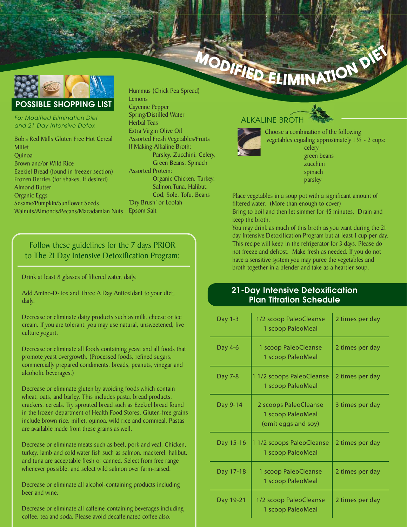

*For Modified Elimination Diet and 21-Day Intensive Detox*

Bob's Red Mills Gluten Free Hot Cereal Millet Quinoa Brown and/or Wild Rice Ezekiel Bread (found in freezer section) Frozen Berries (for shakes, if desired) Almond Butter Organic Eggs Sesame/Pumpkin/Sunflower Seeds Walnuts/Almonds/Pecans/Macadamian Nuts

Hummus (Chick Pea Spread) **Lemons** Cayenne Pepper Spring/Distilled Water Herbal Teas Extra Virgin Olive Oil Assorted Fresh Vegetables/Fruits If Making Alkaline Broth: Parsley, Zucchini, Celery, Green Beans, Spinach Assorted Protein: Organic Chicken, Turkey, Salmon,Tuna, Halibut, Cod, Sole, Tofu, Beans 'Dry Brush' or Loofah Epsom Salt

### Follow these guidelines for the 7 days PRIOR to The 21 Day Intensive Detoxification Program:

Drink at least 8 glasses of filtered water, daily.

Add Amino-D-Tox and Three A Day Antioxidant to your diet, daily.

Decrease or eliminate dairy products such as milk, cheese or ice cream. If you are tolerant, you may use natural, unsweetened, live culture yogurt.

Decrease or eliminate all foods containing yeast and all foods that promote yeast overgrowth. (Processed foods, refined sugars, commercially prepared condiments, breads, peanuts, vinegar and alcoholic beverages.)

Decrease or eliminate gluten by avoiding foods which contain wheat, oats, and barley. This includes pasta, bread products, crackers, cereals. Try sprouted bread such as Ezekiel bread found in the frozen department of Health Food Stores. Gluten-free grains include brown rice, millet, quinoa, wild rice and cornmeal. Pastas are available made from these grains as well.

Decrease or eliminate meats such as beef, pork and veal. Chicken, turkey, lamb and cold water fish such as salmon, mackerel, halibut, and tuna are acceptable fresh or canned. Select from free range whenever possible, and select wild salmon over farm-raised.

Decrease or eliminate all alcohol-containing products including beer and wine.

Decrease or eliminate all caffeine-containing beverages including coffee, tea and soda. Please avoid decaffeinated coffee also.

## ALKALINE BROTH OTH



 Choose a combination of the following vegetables equaling approximately 1 ½ - 2 cups: celery green beans zucchini spinach parsley

Place vegetables in a soup pot with a significant amount of filtered water. (More than enough to cover) Bring to boil and then let simmer for 45 minutes. Drain and keep the broth.

You may drink as much of this broth as you want during the 21 day Intensive Detoxification Program but at least 1 cup per day. This recipe will keep in the refrigerator for 3 days. Please do not freeze and defrost. Make fresh as needed. If you do not have a sensitive system you may puree the vegetables and broth together in a blender and take as a heartier soup.

#### **21-Day Intensive Detoxification Plan Titration Schedule**

| Day 1-3   | 1/2 scoop PaleoCleanse<br>1 scoop PaleoMeal                       | 2 times per day |
|-----------|-------------------------------------------------------------------|-----------------|
| Day 4-6   | 1 scoop PaleoCleanse<br>1 scoop PaleoMeal                         | 2 times per day |
| Day 7-8   | 1 1/2 scoops PaleoCleanse<br>1 scoop PaleoMeal                    | 2 times per day |
| Day 9-14  | 2 scoops PaleoCleanse<br>1 scoop PaleoMeal<br>(omit eggs and soy) | 3 times per day |
| Day 15-16 | 11/2 scoops PaleoCleanse<br>1 scoop PaleoMeal                     | 2 times per day |
| Day 17-18 | 1 scoop PaleoCleanse<br>1 scoop PaleoMeal                         | 2 times per day |
| Day 19-21 | 1/2 scoop PaleoCleanse<br>1 scoop PaleoMeal                       | 2 times per day |